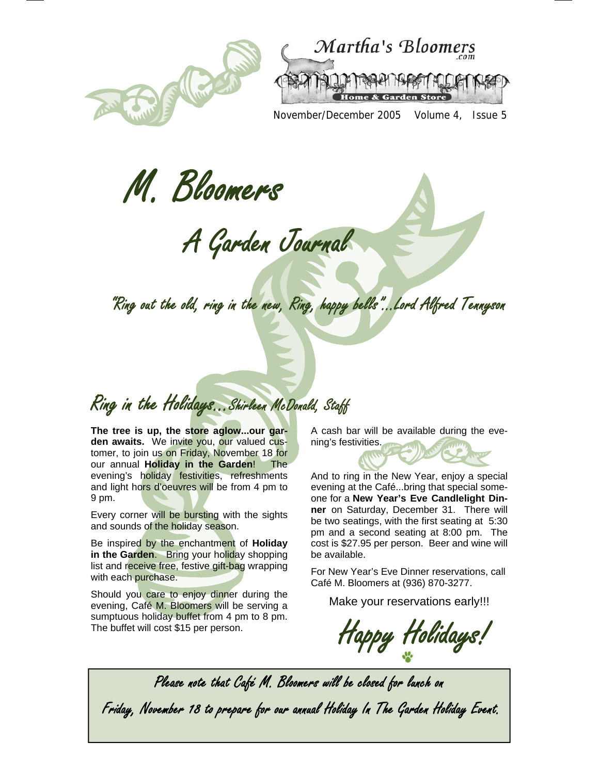



November/December 2005 Volume 4, Issue 5

M. Bloomers

A Garden Journal

"Ring out the old, ring in the new, Ring, happy bells"...Lord Alfred Tennyson

Ring in the Holidays...Shirleen McDonald, Staff

**The tree is up, the store aglow...our gar**den awaits. We invite you, our valued customer, to join us on Friday, November 18 for our annual **Holiday in the Garden**! The evening's holiday festivities, refreshments and light hors d'oeuvres will be from 4 pm to 9 pm.

Every corner will be bursting with the sights and sounds of the holiday season.

Be inspired by the enchantment of **Holiday in the Garden.** Bring your holiday shopping list and receive free, festive gift-bag wrapping with each purchase.

Should you care to enjoy dinner during the evening, Café M. Bloomers will be serving a sumptuous holiday buffet from 4 pm to 8 pm. The buffet will cost \$15 per person.

A cash bar will be available during the evening's festivities.



be available. For New Year's Eve Dinner reservations, call Café M. Bloomers at (936) 870-3277.

cost is \$27.95 per person. Beer and wine will

Make your reservations early!!!

Happy Holidays!

Please note that Café M. Bloomers will be closed for lunch on Friday, November 18 to prepare for our annual Holiday In The Garden Holiday Event.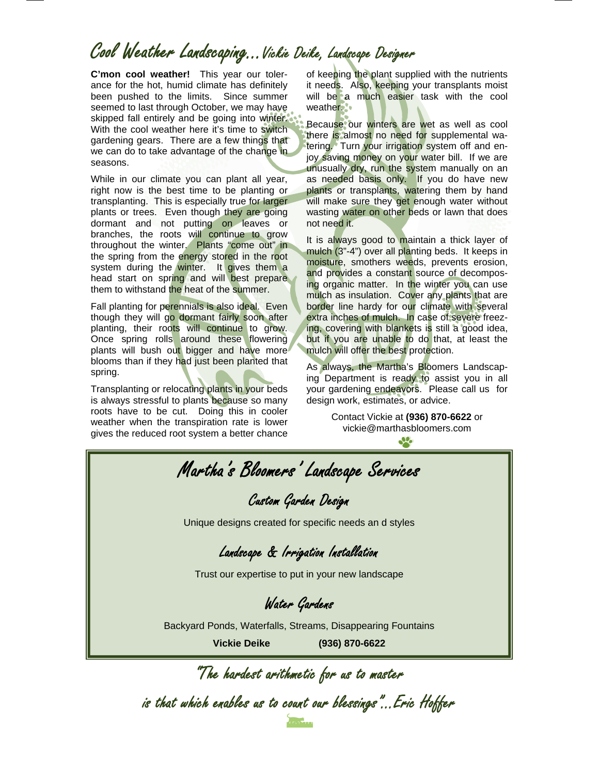## Cool Weather Landscaping...Vickie Deike, Landscape Designer

**C'mon cool weather!** This year our tolerance for the hot, humid climate has definitely been pushed to the limits. Since summer seemed to last through October, we may have skipped fall entirely and be going into winter. With the cool weather here it's time to switch gardening gears. There are a few things that we can do to take advantage of the change in seasons.

While in our climate you can plant all year, right now is the best time to be planting or transplanting. This is especially true for larger plants or trees. Even though they are going dormant and not putting on leaves or branches, the roots will continue to grow throughout the winter. Plants "come out" in the spring from the energy stored in the root system during the winter. It gives them a head start on spring and will best prepare them to withstand the heat of the summer.

Fall planting for perennials is also ideal. Even though they will go dormant fairly soon after planting, their roots will continue to grow. Once spring rolls around these flowering plants will bush out bigger and have more blooms than if they had just been planted that spring.

Transplanting or relocating plants in your beds is always stressful to plants because so many roots have to be cut. Doing this in cooler weather when the transpiration rate is lower gives the reduced root system a better chance

of keeping the plant supplied with the nutrients it needs. Also, keeping your transplants moist will be a much easier task with the cool weather.

Because our winters are wet as well as cool there is almost no need for supplemental watering. Turn your irrigation system off and enjoy saving money on your water bill. If we are unusually dry, run the system manually on an as needed basis only. If you do have new plants or transplants, watering them by hand will make sure they get enough water without wasting water on other beds or lawn that does not need it.

It is always good to maintain a thick layer of mulch (3"-4") over all planting beds. It keeps in moisture, smothers weeds, prevents erosion, and provides a constant source of decomposing organic matter. In the winter you can use mulch as insulation. Cover any plants that are border line hardy for our climate with several extra inches of mulch. In case of severe freezing, covering with blankets is still a good idea, but if you are unable to do that, at least the mulch will offer the best protection.

As always, the Martha's Bloomers Landscaping Department is ready to assist you in all your gardening endeavors. Please call us for design work, estimates, or advice.

> Contact Vickie at **(936) 870-6622** or vickie@marthasbloomers.com Jo.

"The hardest arithmetic for us to master is that which enables us to count our blessings"...Eric Hoffer Martha's Bloomers' Landscape Services Custom Garden Design Unique designs created for specific needs an d styles Landscape & Irrigation Installation Trust our expertise to put in your new landscape Water Gardens Backyard Ponds, Waterfalls, Streams, Disappearing Fountains **Vickie Deike (936) 870-6622**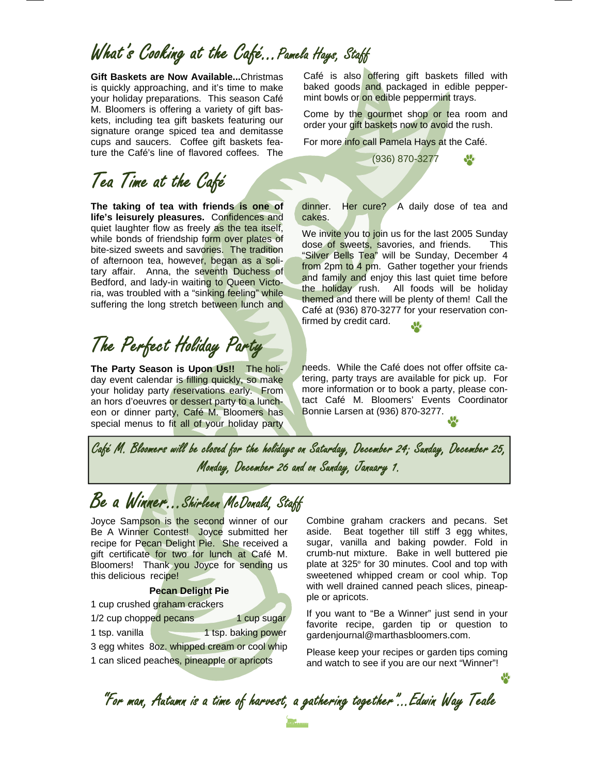#### What's Cooking at the Café... Pamela Hays, Staff

**Gift Baskets are Now Available...**Christmas is quickly approaching, and it's time to make your holiday preparations. This season Café M. Bloomers is offering a variety of gift baskets, including tea gift baskets featuring our signature orange spiced tea and demitasse cups and saucers. Coffee gift baskets feature the Café's line of flavored coffees. The

#### Tea Time at the Café

**The taking of tea with friends is one of life's leisurely pleasures.** Confidences and quiet laughter flow as freely as the tea itself, while bonds of friendship form over plates of bite-sized sweets and savories. The tradition of afternoon tea, however, began as a solitary affair. Anna, the seventh Duchess of Bedford, and lady-in waiting to Queen Victoria, was troubled with a "sinking feeling" while suffering the long stretch between lunch and

# The Perfect Holiday Party

**The Party Season is Upon Us!!** The holiday event calendar is filling quickly, so make your holiday party reservations early. From an hors d'oeuvres or dessert party to a luncheon or dinner party, Café M. Bloomers has special menus to fit all of your holiday party Café is also offering gift baskets filled with baked goods and packaged in edible peppermint bowls or on edible peppermint trays.

Come by the gourmet shop or tea room and order your gift baskets now to avoid the rush.

For more info call Pamela Hays at the Café.

(936) 870-3277

dinner. Her cure? A daily dose of tea and cakes.

We invite you to join us for the last 2005 Sunday dose of sweets, savories, and friends. This "Silver Bells Tea" will be Sunday, December 4 from 2pm to 4 pm. Gather together your friends and family and enjoy this last quiet time before the holiday rush. All foods will be holiday themed and there will be plenty of them! Call the Café at (936) 870-3277 for your reservation confirmed by credit card.

needs. While the Café does not offer offsite catering, party trays are available for pick up. For more information or to book a party, please contact Café M. Bloomers' Events Coordinator Bonnie Larsen at (936) 870-3277.

Café M. Bloomers will be closed for the holidays on Saturday, December 24; Sunday, December 25, Monday, December 26 and on Sunday, January 1.

#### Be a Winner...Shirleen McDonald, Staff

Joyce Sampson is the second winner of our Be A Winner Contest! Joyce submitted her recipe for Pecan Delight Pie. She received a gift certificate for two for lunch at Café M. Bloomers! Thank you Joyce for sending us this delicious recipe!

**Pecan Delight Pie** 

|                                              | 1 cup crushed graham crackers |                     |  |
|----------------------------------------------|-------------------------------|---------------------|--|
| 1/2 cup chopped pecans                       |                               | 1 cup sugar         |  |
| 1 tsp. vanilla                               |                               | 1 tsp. baking power |  |
| 3 egg whites 8oz. whipped cream or cool whip |                               |                     |  |
| 1 can sliced peaches, pineapple or apricots  |                               |                     |  |

Combine graham crackers and pecans. Set aside. Beat together till stiff 3 egg whites, sugar, vanilla and baking powder. Fold in crumb-nut mixture. Bake in well buttered pie plate at 325º for 30 minutes. Cool and top with sweetened whipped cream or cool whip. Top with well drained canned peach slices, pineapple or apricots.

If you want to "Be a Winner" just send in your favorite recipe, garden tip or question to gardenjournal@marthasbloomers.com.

Please keep your recipes or garden tips coming and watch to see if you are our next "Winner"!

"For man, Autumn is a time of harvest, a gathering together"...Edwin Way Teale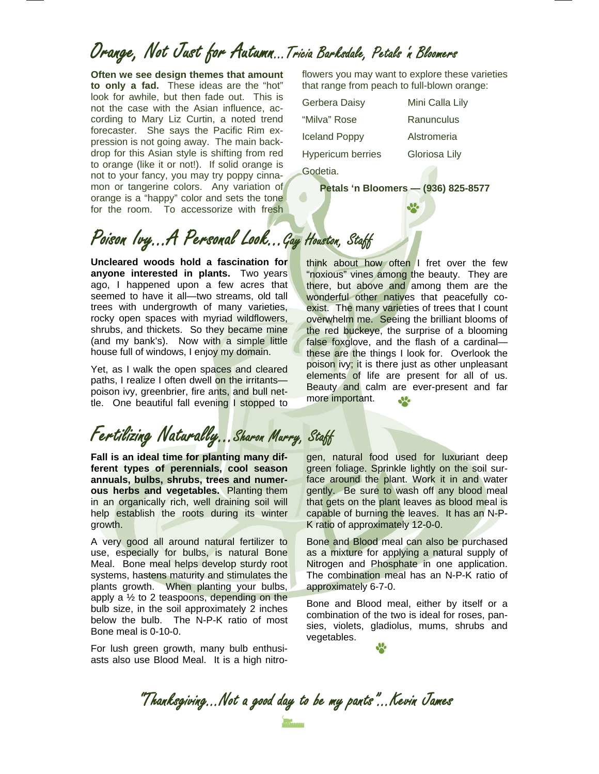#### Orange, Not Just for Autumn...Tricia Barksdale, Petals 'n Bloomers

**Often we see design themes that amount to only a fad.** These ideas are the "hot" look for awhile, but then fade out. This is not the case with the Asian influence, according to Mary Liz Curtin, a noted trend forecaster. She says the Pacific Rim expression is not going away. The main backdrop for this Asian style is shifting from red to orange (like it or not!). If solid orange is not to your fancy, you may try poppy cinnamon or tangerine colors. Any variation of orange is a "happy" color and sets the tone for the room. To accessorize with fresh

flowers you may want to explore these varieties that range from peach to full-blown orange:

| Gerbera Daisy            | Mini Calla Lily |
|--------------------------|-----------------|
| "Milva" Rose             | Ranunculus      |
| <b>Iceland Poppy</b>     | Alstromeria     |
| <b>Hypericum berries</b> | Gloriosa Lily   |
| Godetia.                 |                 |

**Petals 'n Bloomers — (936) 825-8577** 

## Poison Ivy...A Personal Look...Gay Houston, Staff

**Uncleared woods hold a fascination for anyone interested in plants.** Two years ago, I happened upon a few acres that seemed to have it all—two streams, old tall trees with undergrowth of many varieties, rocky open spaces with myriad wildflowers, shrubs, and thickets. So they became mine (and my bank's). Now with a simple little house full of windows, I enjoy my domain.

Yet, as I walk the open spaces and cleared paths, I realize I often dwell on the irritants poison ivy, greenbrier, fire ants, and bull nettle. One beautiful fall evening I stopped to

Fertilizing Naturally...Sharon Murry, Staff

**Fall is an ideal time for planting many different types of perennials, cool season annuals, bulbs, shrubs, trees and numerous herbs and vegetables.** Planting them in an organically rich, well draining soil will help establish the roots during its winter growth.

A very good all around natural fertilizer to use, especially for bulbs, is natural Bone Meal. Bone meal helps develop sturdy root systems, hastens maturity and stimulates the plants growth. When planting your bulbs, apply a  $\frac{1}{2}$  to 2 teaspoons, depending on the bulb size, in the soil approximately 2 inches below the bulb. The N-P-K ratio of most Bone meal is 0-10-0.

For lush green growth, many bulb enthusiasts also use Blood Meal. It is a high nitro-

think about how often I fret over the few "noxious" vines among the beauty. They are there, but above and among them are the wonderful other natives that peacefully coexist. The many varieties of trees that I count overwhelm me. Seeing the brilliant blooms of the red buckeye, the surprise of a blooming false foxglove, and the flash of a cardinal these are the things I look for. Overlook the poison ivy; it is there just as other unpleasant elements of life are present for all of us. Beauty and calm are ever-present and far more important. **SP** 

gen, natural food used for luxuriant deep green foliage. Sprinkle lightly on the soil surface around the plant. Work it in and water gently. Be sure to wash off any blood meal that gets on the plant leaves as blood meal is capable of burning the leaves. It has an N-P-K ratio of approximately 12-0-0.

Bone and Blood meal can also be purchased as a mixture for applying a natural supply of Nitrogen and Phosphate in one application. The combination meal has an N-P-K ratio of approximately 6-7-0.

Bone and Blood meal, either by itself or a combination of the two is ideal for roses, pansies, violets, gladiolus, mums, shrubs and vegetables.

"Thanksgiving...Not a good day to be my pants"...Kevin James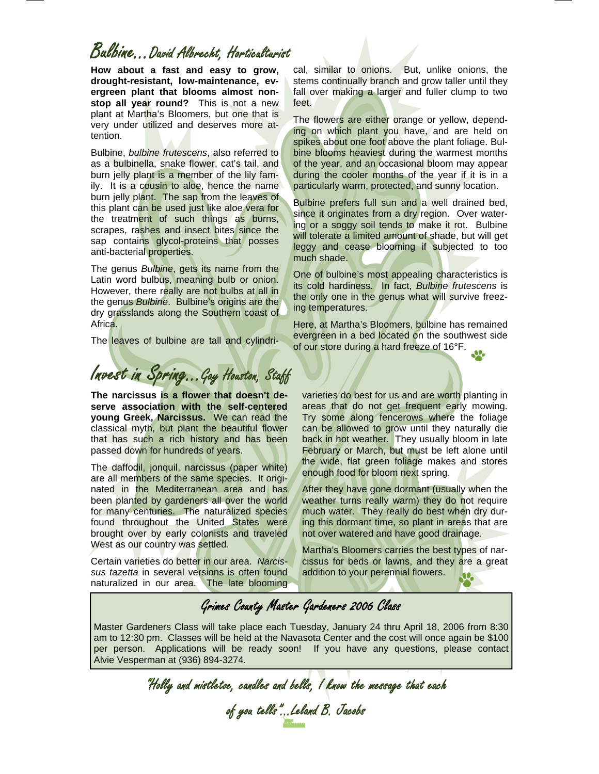#### Bulbine...David Albrecht, Horticulturist

**How about a fast and easy to grow, drought-resistant, low-maintenance, evergreen plant that blooms almost nonstop all year round?** This is not a new plant at Martha's Bloomers, but one that is very under utilized and deserves more attention.

Bulbine, *bulbine frutescens*, also referred to as a bulbinella, snake flower, cat's tail, and burn jelly plant is a member of the lily family. It is a cousin to aloe, hence the name burn jelly plant. The sap from the leaves of this plant can be used just like aloe vera for the treatment of such things as burns, scrapes, rashes and insect bites since the sap contains glycol-proteins that posses anti-bacterial properties.

The genus *Bulbine*, gets its name from the Latin word bulbus, meaning bulb or onion. However, there really are not bulbs at all in the genus *Bulbine*. Bulbine's origins are the dry grasslands along the Southern coast of Africa.

The leaves of bulbine are tall and cylindri-

cal, similar to onions. But, unlike onions, the stems continually branch and grow taller until they fall over making a larger and fuller clump to two feet.

The flowers are either orange or yellow, depending on which plant you have, and are held on spikes about one foot above the plant foliage. Bulbine blooms heaviest during the warmest months of the year, and an occasional bloom may appear during the cooler months of the year if it is in a particularly warm, protected, and sunny location.

Bulbine prefers full sun and a well drained bed, since it originates from a dry region. Over watering or a soggy soil tends to make it rot. Bulbine will tolerate a limited amount of shade, but will get leggy and cease blooming if subjected to too much shade.

One of bulbine's most appealing characteristics is its cold hardiness. In fact, *Bulbine frutescens* is the only one in the genus what will survive freezing temperatures.

Here, at Martha's Bloomers, bulbine has remained evergreen in a bed located on the southwest side of our store during a hard freeze of 16°F.

Invest in Spring...Gay Houston, Staff

**The narcissus is a flower that doesn't deserve association with the self-centered young Greek, Narcissus.** We can read the classical myth, but plant the beautiful flower that has such a rich history and has been passed down for hundreds of years.

The daffodil, jonquil, narcissus (paper white) are all members of the same species. It originated in the Mediterranean area and has been planted by gardeners all over the world for many centuries. The naturalized species found throughout the United States were brought over by early colonists and traveled West as our country was settled.

Certain varieties do better in our area. *Narcissus tazetta* in several versions is often found naturalized in our area. The late blooming

varieties do best for us and are worth planting in areas that do not get frequent early mowing. Try some along fencerows where the foliage can be allowed to grow until they naturally die back in hot weather. They usually bloom in late February or March, but must be left alone until the wide, flat green foliage makes and stores enough food for bloom next spring.

After they have gone dormant (usually when the weather turns really warm) they do not require much water. They really do best when dry during this dormant time, so plant in areas that are not over watered and have good drainage.

Martha's Bloomers carries the best types of narcissus for beds or lawns, and they are a great addition to your perennial flowers.

#### Grimes County Master Gardeners 2006 Class

Master Gardeners Class will take place each Tuesday, January 24 thru April 18, 2006 from 8:30 am to 12:30 pm. Classes will be held at the Navasota Center and the cost will once again be \$100 per person. Applications will be ready soon! If you have any questions, please contact Alvie Vesperman at (936) 894-3274.

"Holly and mistletoe, candles and bells, I know the message that each of you tells"…Leland B. Jacobs